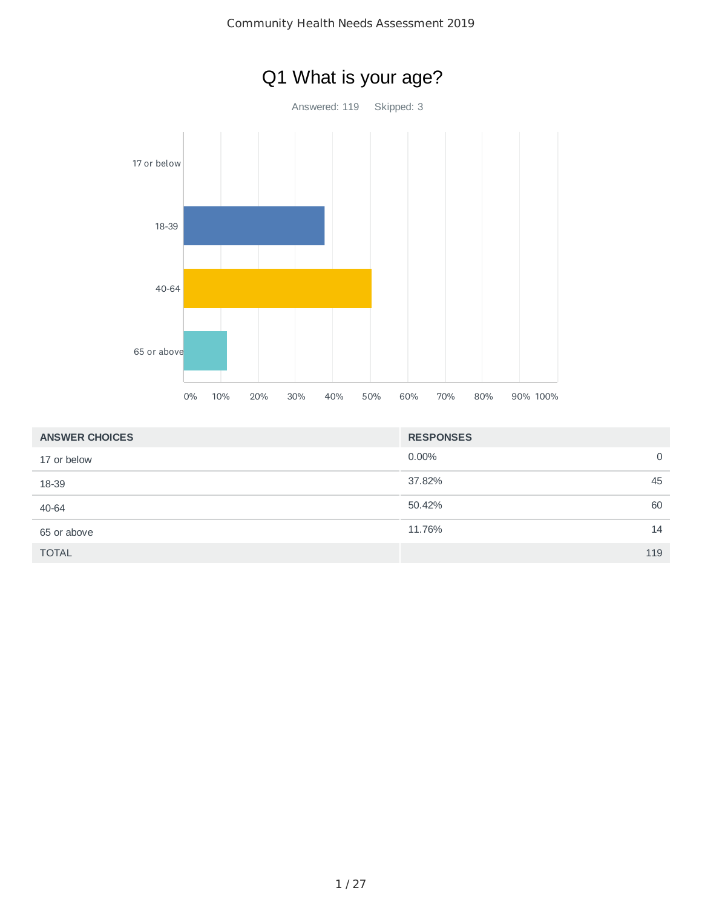

|  | Community Health Needs Assessment 2019 |  |
|--|----------------------------------------|--|
|--|----------------------------------------|--|

| <b>ANSWER CHOICES</b> | <b>RESPONSES</b> |
|-----------------------|------------------|
| 17 or below           | $0.00\%$<br>0    |
| 18-39                 | 37.82%<br>45     |
| 40-64                 | 50.42%<br>60     |
| 65 or above           | 11.76%<br>14     |
| <b>TOTAL</b>          | 119              |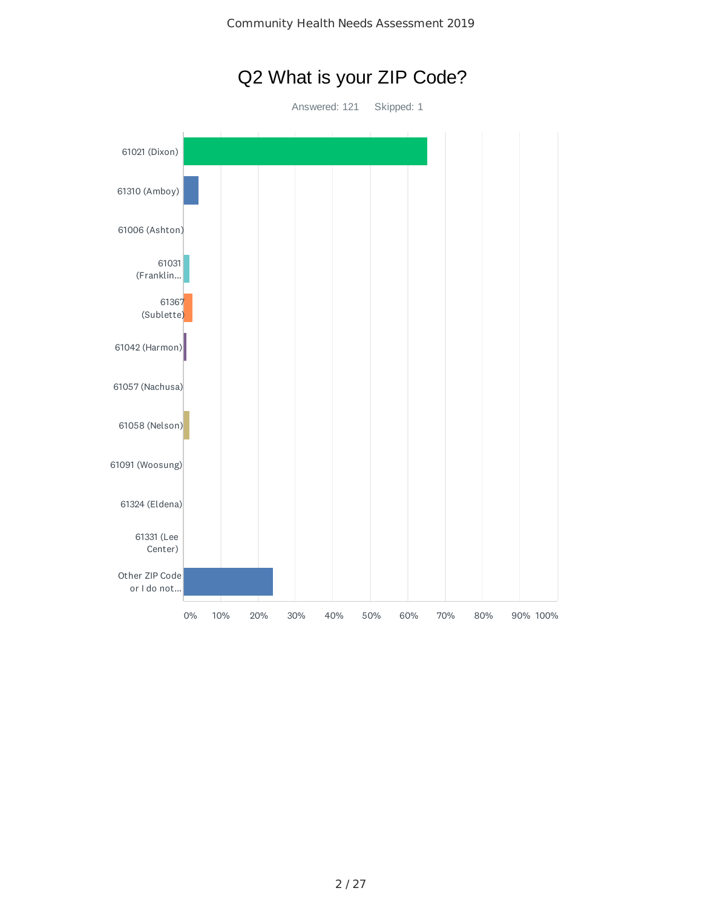

61006 (Ashton) 61031 (Franklin... 61367 (Sublette) 61042 (Harmon) 61057 (Nachusa) 61058 (Nelson) 61091 (Woosung) 61324 (Eldena) 61331 (Lee Center) Other ZIP Code or I do not... 0% 10% 20% 30% 40% 50% 60% 70% 80% 90% 100%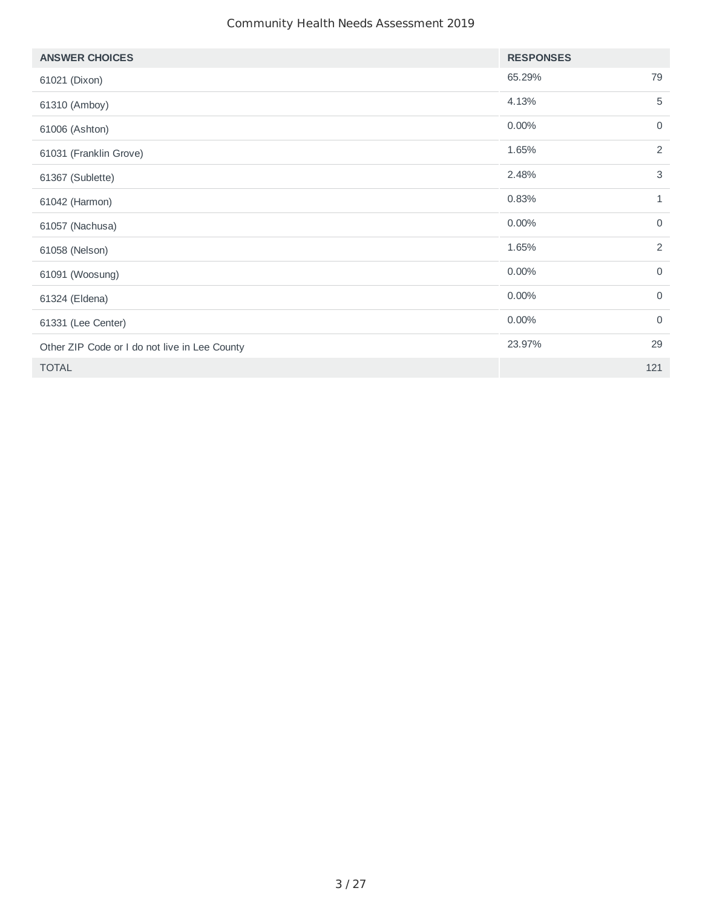| <b>ANSWER CHOICES</b>                         | <b>RESPONSES</b> |              |
|-----------------------------------------------|------------------|--------------|
| 61021 (Dixon)                                 | 65.29%           | 79           |
| 61310 (Amboy)                                 | 4.13%            | 5            |
| 61006 (Ashton)                                | 0.00%            | $\mathbf 0$  |
| 61031 (Franklin Grove)                        | 1.65%            | 2            |
| 61367 (Sublette)                              | 2.48%            | 3            |
| 61042 (Harmon)                                | 0.83%            | $\mathbf{1}$ |
| 61057 (Nachusa)                               | 0.00%            | $\mathbf 0$  |
| 61058 (Nelson)                                | 1.65%            | 2            |
| 61091 (Woosung)                               | 0.00%            | $\mathbf 0$  |
| 61324 (Eldena)                                | 0.00%            | $\mathbf 0$  |
| 61331 (Lee Center)                            | 0.00%            | $\mathbf 0$  |
| Other ZIP Code or I do not live in Lee County | 23.97%           | 29           |
| <b>TOTAL</b>                                  |                  | 121          |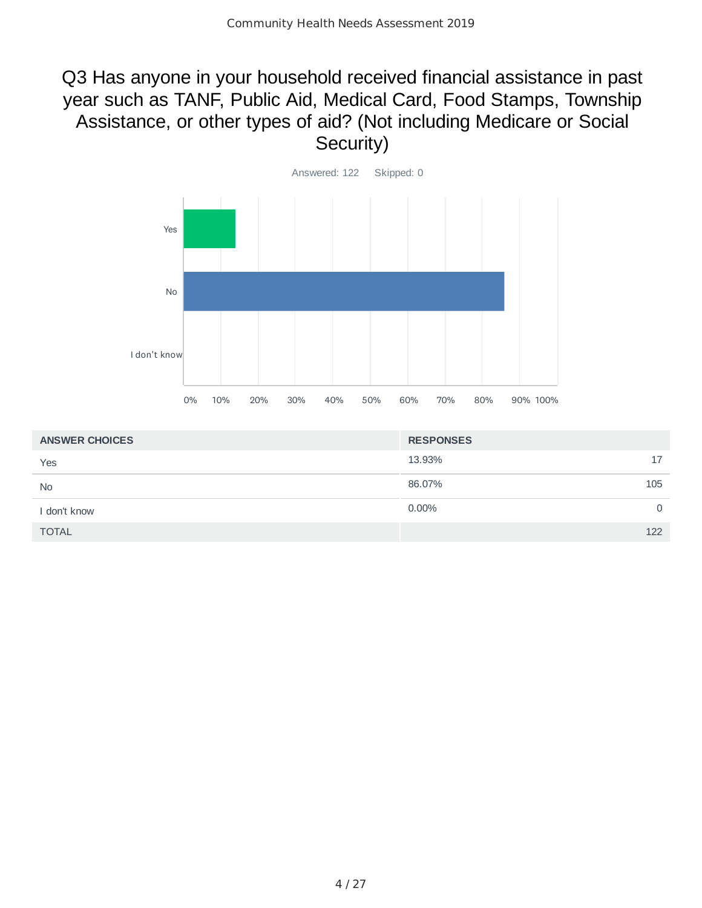## Q3 Has anyone in your household received financial assistance in past year such as TANF, Public Aid, Medical Card, Food Stamps, Township Assistance, or other types of aid? (Not including Medicare or Social Security)



| <b>ANSWER CHOICES</b> | <b>RESPONSES</b> |     |
|-----------------------|------------------|-----|
| Yes                   | 13.93%           | 17  |
| <b>No</b>             | 86.07%           | 105 |
| I don't know          | $0.00\%$         | 0   |
| <b>TOTAL</b>          |                  | 122 |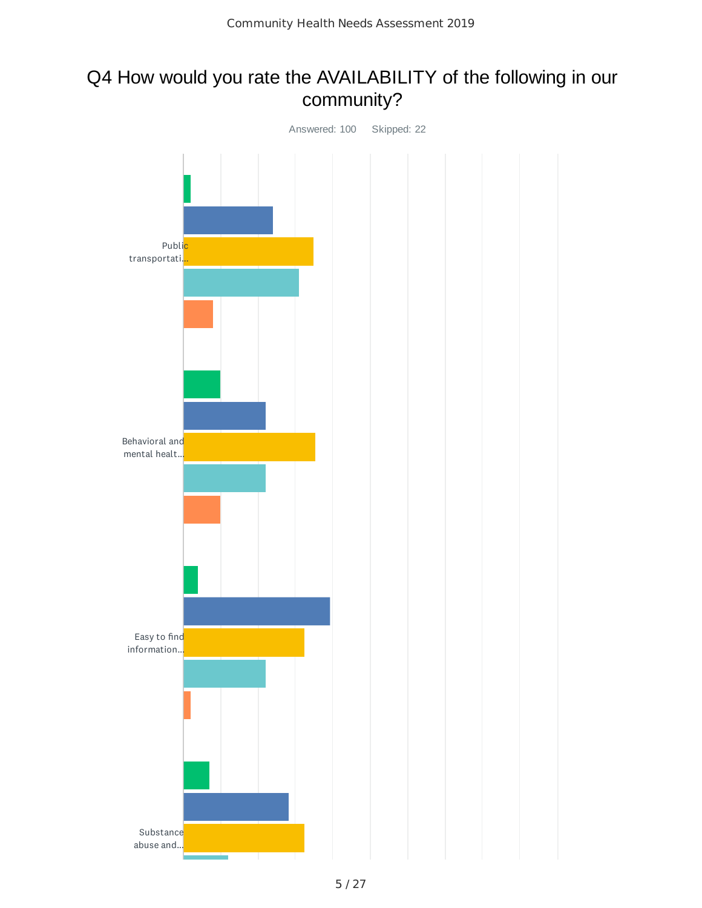## Q4 How would you rate the AVAILABILITY of the following in our community?

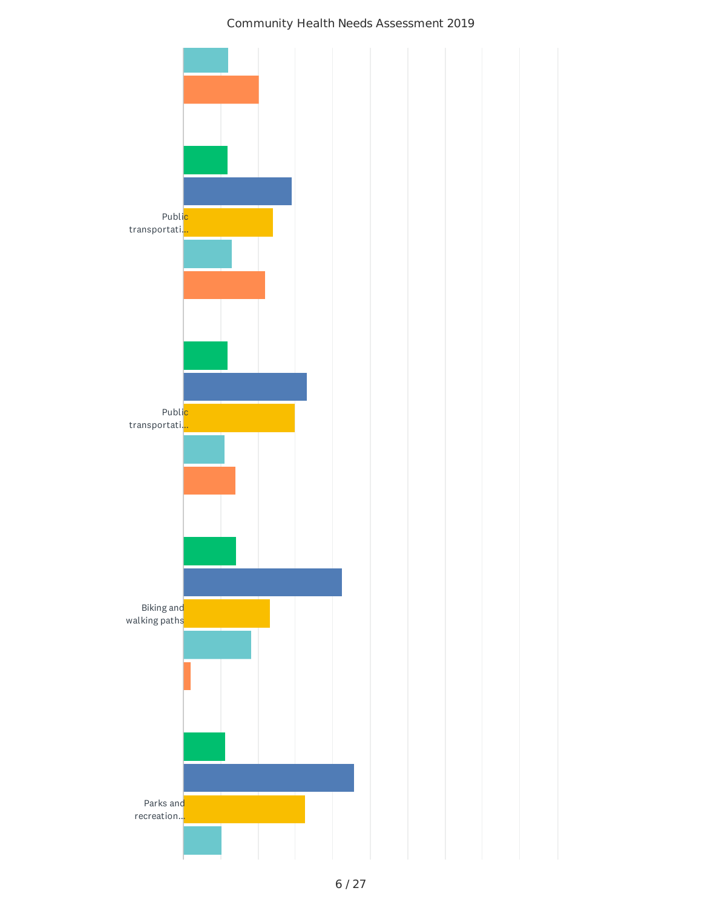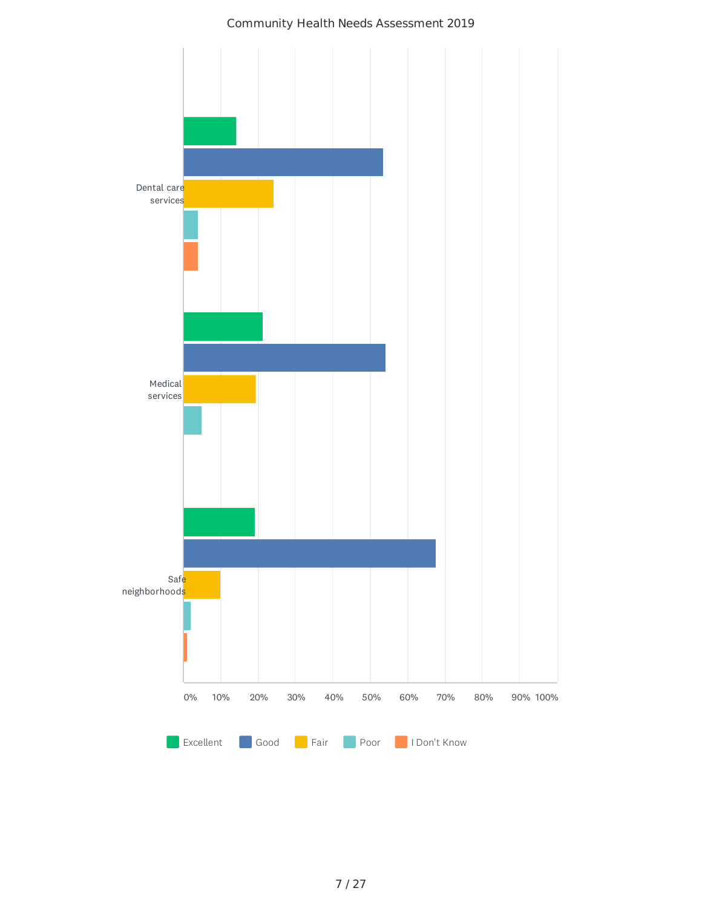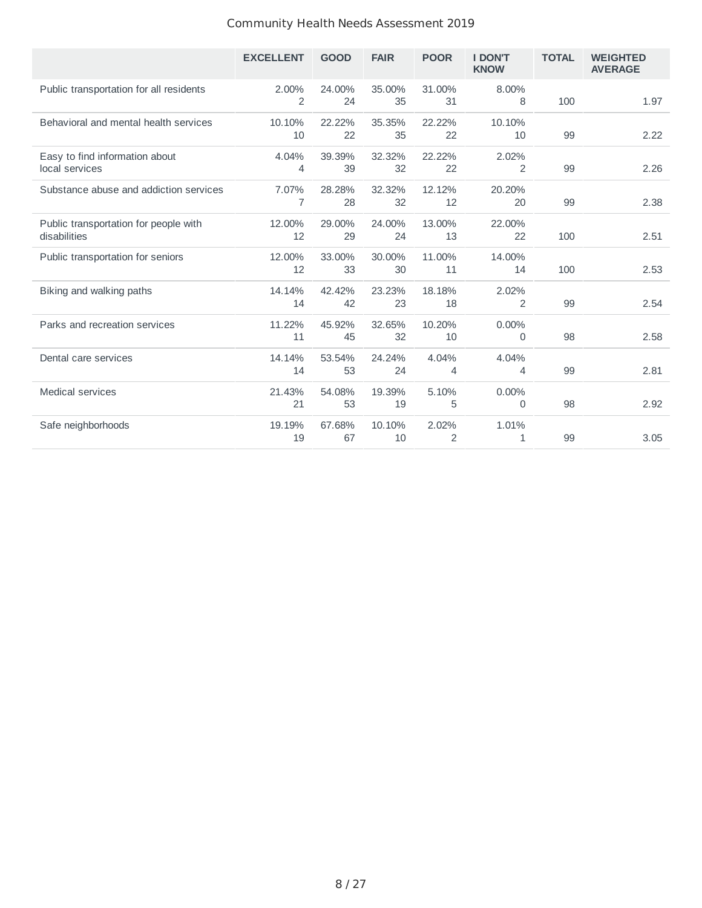|                                                       | <b>EXCELLENT</b> | <b>GOOD</b>  | <b>FAIR</b>  | <b>POOR</b>             | <b>I DON'T</b><br><b>KNOW</b> | <b>TOTAL</b> | <b>WEIGHTED</b><br><b>AVERAGE</b> |
|-------------------------------------------------------|------------------|--------------|--------------|-------------------------|-------------------------------|--------------|-----------------------------------|
| Public transportation for all residents               | 2.00%<br>2       | 24.00%<br>24 | 35.00%<br>35 | 31.00%<br>31            | 8.00%<br>8                    | 100          | 1.97                              |
| Behavioral and mental health services                 | 10.10%<br>10     | 22.22%<br>22 | 35.35%<br>35 | 22.22%<br>22            | 10.10%<br>10                  | 99           | 2.22                              |
| Easy to find information about<br>local services      | 4.04%<br>4       | 39.39%<br>39 | 32.32%<br>32 | 22.22%<br>22            | 2.02%<br>$\overline{2}$       | 99           | 2.26                              |
| Substance abuse and addiction services                | 7.07%<br>7       | 28.28%<br>28 | 32.32%<br>32 | 12.12%<br>12            | 20.20%<br>20                  | 99           | 2.38                              |
| Public transportation for people with<br>disabilities | 12.00%<br>12     | 29.00%<br>29 | 24.00%<br>24 | 13.00%<br>13            | 22.00%<br>22                  | 100          | 2.51                              |
| Public transportation for seniors                     | 12.00%<br>12     | 33.00%<br>33 | 30.00%<br>30 | 11.00%<br>11            | 14.00%<br>14                  | 100          | 2.53                              |
| Biking and walking paths                              | 14.14%<br>14     | 42.42%<br>42 | 23.23%<br>23 | 18.18%<br>18            | 2.02%<br>$\overline{2}$       | 99           | 2.54                              |
| Parks and recreation services                         | 11.22%<br>11     | 45.92%<br>45 | 32.65%<br>32 | 10.20%<br>10            | 0.00%<br>0                    | 98           | 2.58                              |
| Dental care services                                  | 14.14%<br>14     | 53.54%<br>53 | 24.24%<br>24 | 4.04%<br>4              | 4.04%<br>4                    | 99           | 2.81                              |
| <b>Medical services</b>                               | 21.43%<br>21     | 54.08%<br>53 | 19.39%<br>19 | 5.10%<br>5              | 0.00%<br>0                    | 98           | 2.92                              |
| Safe neighborhoods                                    | 19.19%<br>19     | 67.68%<br>67 | 10.10%<br>10 | 2.02%<br>$\overline{2}$ | 1.01%<br>1                    | 99           | 3.05                              |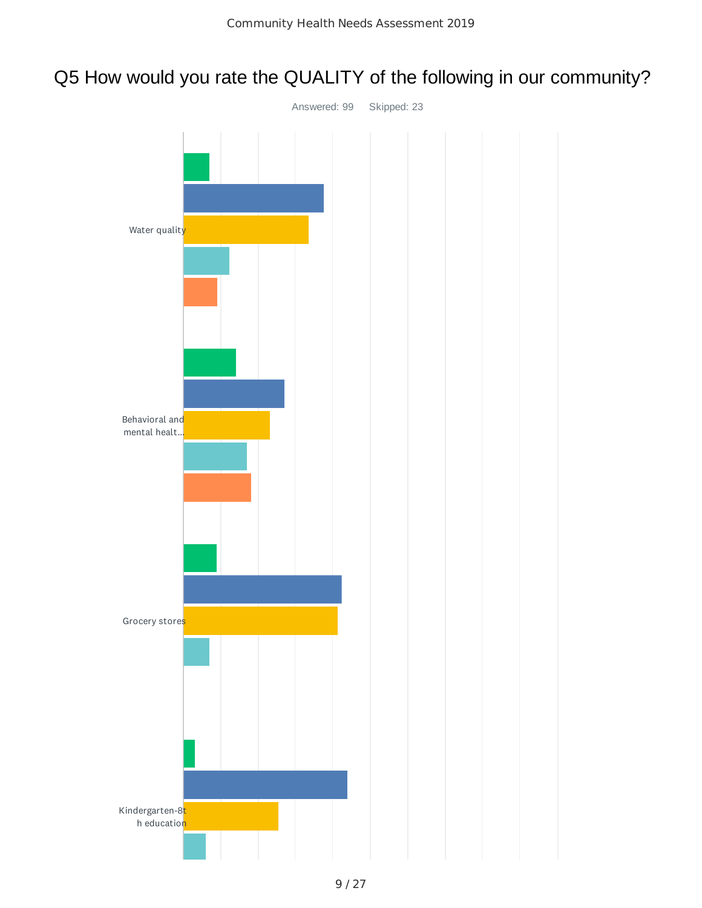## Q5 How would you rate the QUALITY of the following in our community?

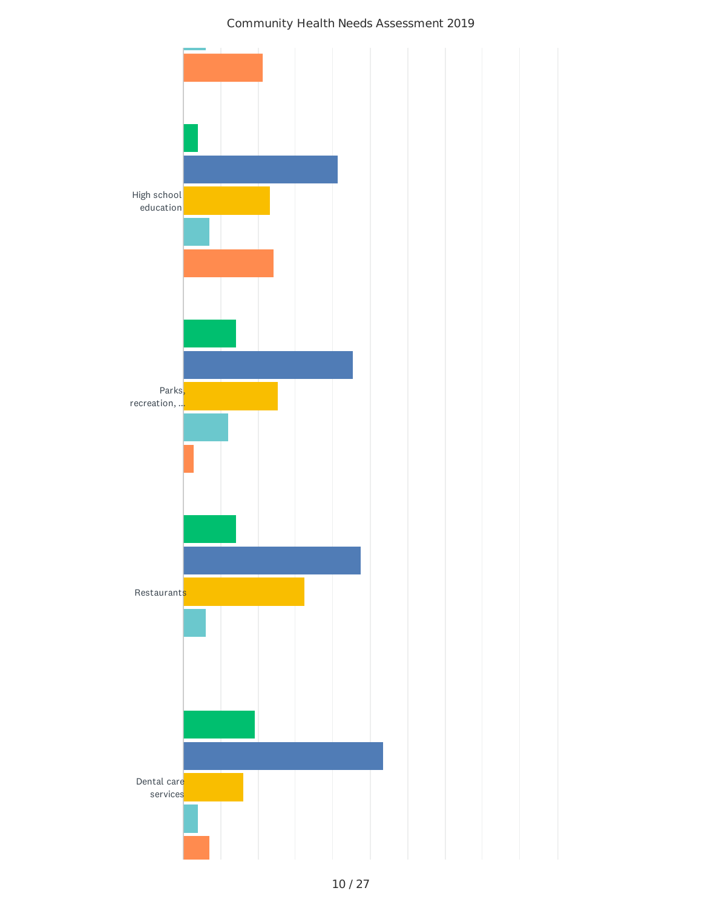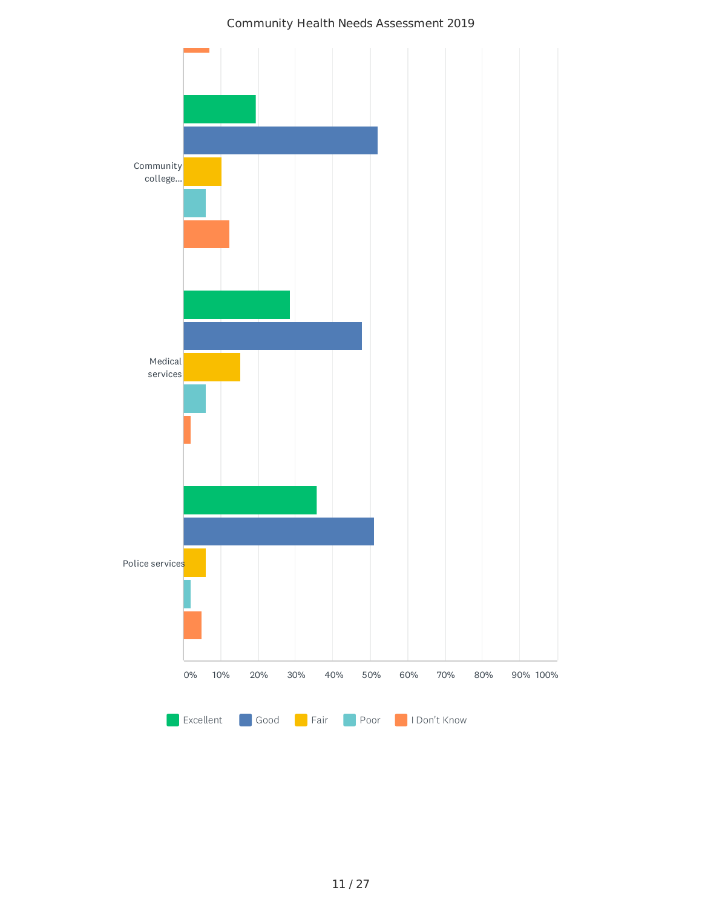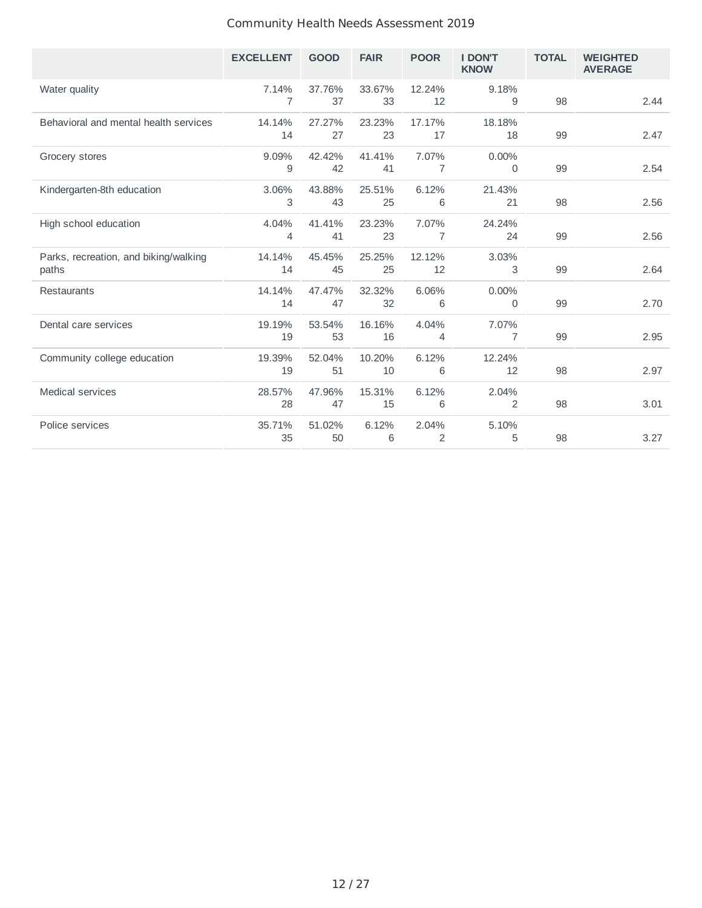|                                                | <b>EXCELLENT</b> | <b>GOOD</b>  | <b>FAIR</b>  | <b>POOR</b>  | <b>I DON'T</b><br><b>KNOW</b> | <b>TOTAL</b> | <b>WEIGHTED</b><br><b>AVERAGE</b> |
|------------------------------------------------|------------------|--------------|--------------|--------------|-------------------------------|--------------|-----------------------------------|
| Water quality                                  | 7.14%<br>7       | 37.76%<br>37 | 33.67%<br>33 | 12.24%<br>12 | 9.18%<br>9                    | 98           | 2.44                              |
| Behavioral and mental health services          | 14.14%<br>14     | 27.27%<br>27 | 23.23%<br>23 | 17.17%<br>17 | 18.18%<br>18                  | 99           | 2.47                              |
| Grocery stores                                 | 9.09%<br>9       | 42.42%<br>42 | 41.41%<br>41 | 7.07%<br>7   | 0.00%<br>$\Omega$             | 99           | 2.54                              |
| Kindergarten-8th education                     | 3.06%<br>3       | 43.88%<br>43 | 25.51%<br>25 | 6.12%<br>6   | 21.43%<br>21                  | 98           | 2.56                              |
| High school education                          | 4.04%<br>4       | 41.41%<br>41 | 23.23%<br>23 | 7.07%<br>7   | 24.24%<br>24                  | 99           | 2.56                              |
| Parks, recreation, and biking/walking<br>paths | 14.14%<br>14     | 45.45%<br>45 | 25.25%<br>25 | 12.12%<br>12 | 3.03%<br>3                    | 99           | 2.64                              |
| Restaurants                                    | 14.14%<br>14     | 47.47%<br>47 | 32.32%<br>32 | 6.06%<br>6   | 0.00%<br>0                    | 99           | 2.70                              |
| Dental care services                           | 19.19%<br>19     | 53.54%<br>53 | 16.16%<br>16 | 4.04%<br>4   | 7.07%<br>7                    | 99           | 2.95                              |
| Community college education                    | 19.39%<br>19     | 52.04%<br>51 | 10.20%<br>10 | 6.12%<br>6   | 12.24%<br>12                  | 98           | 2.97                              |
| <b>Medical services</b>                        | 28.57%<br>28     | 47.96%<br>47 | 15.31%<br>15 | 6.12%<br>6   | 2.04%<br>2                    | 98           | 3.01                              |
| Police services                                | 35.71%<br>35     | 51.02%<br>50 | 6.12%<br>6   | 2.04%<br>2   | 5.10%<br>5                    | 98           | 3.27                              |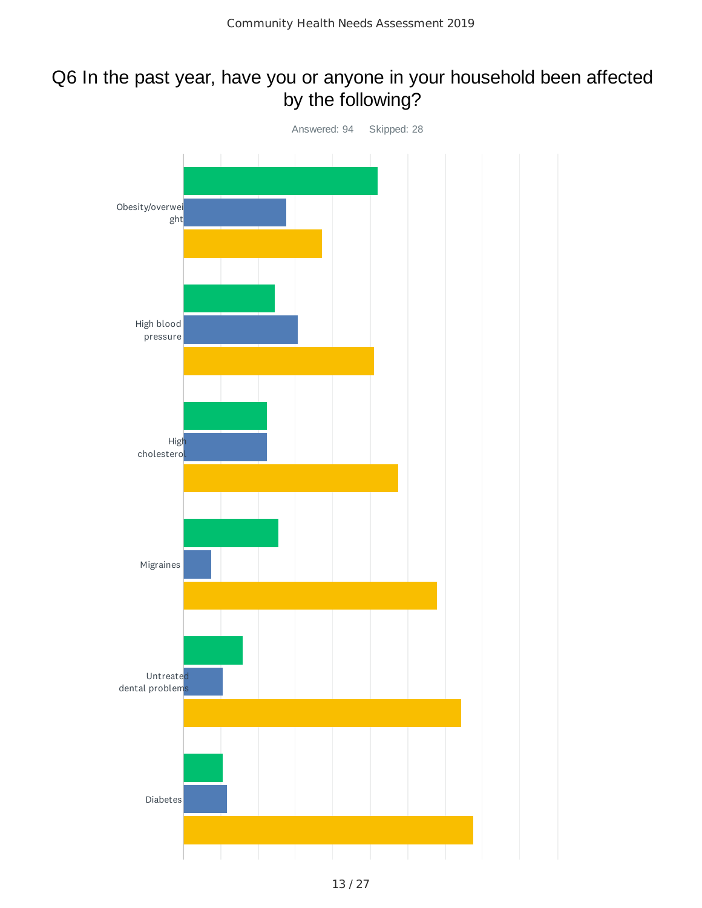### Q6 In the past year, have you or anyone in your household been affected by the following?

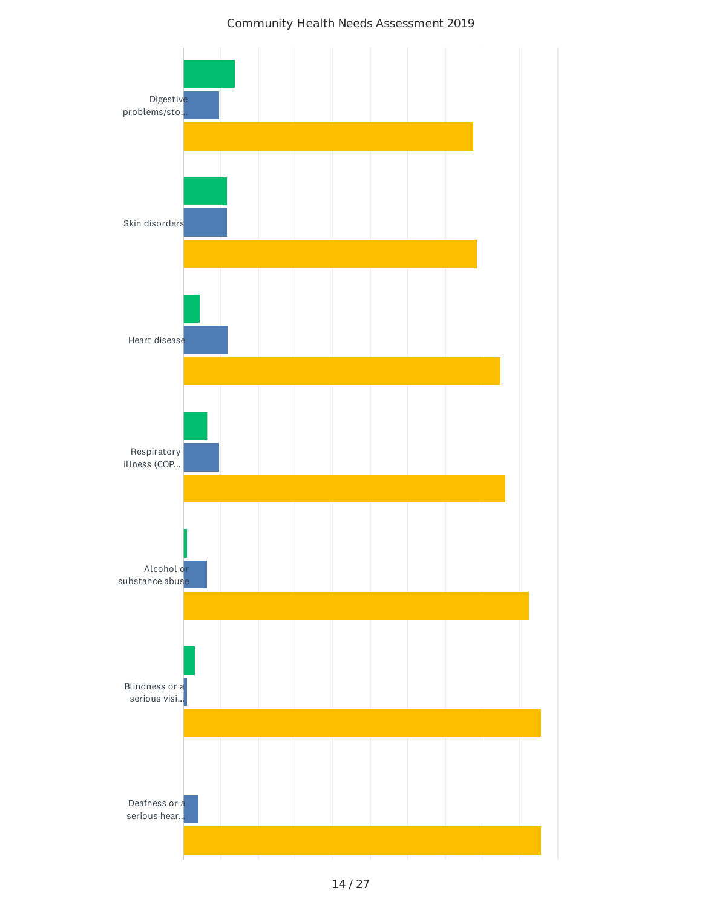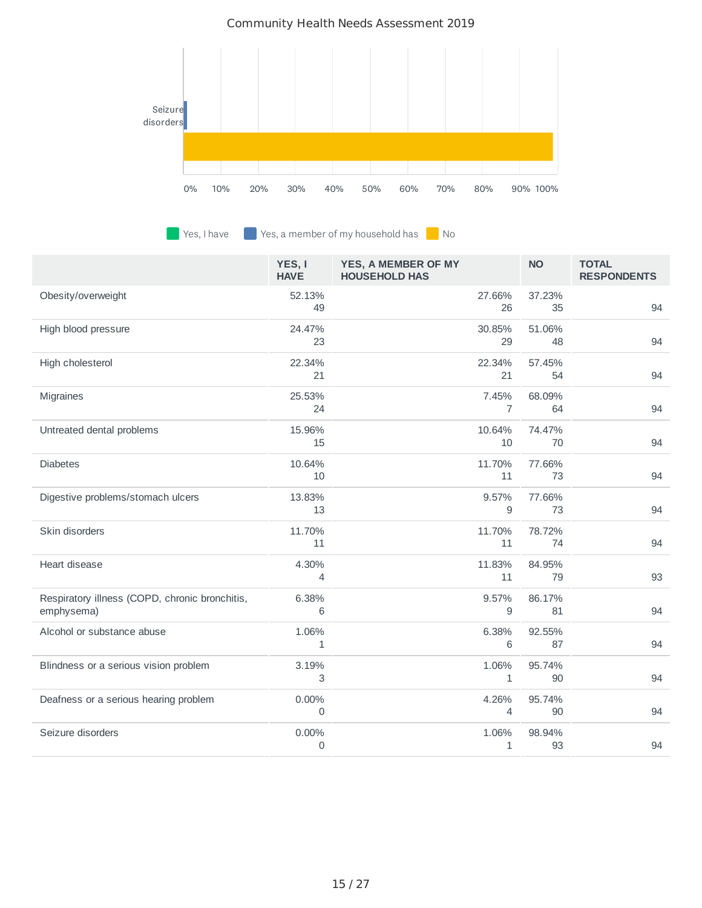

 $\blacksquare$  Yes, I have  $\blacksquare$  Yes, a member of my household has  $\blacksquare$  No

|                                                              | YES, I<br><b>HAVE</b> | YES, A MEMBER OF MY<br><b>HOUSEHOLD HAS</b> |                         | <b>NO</b>    | <b>TOTAL</b><br><b>RESPONDENTS</b> |
|--------------------------------------------------------------|-----------------------|---------------------------------------------|-------------------------|--------------|------------------------------------|
| Obesity/overweight                                           | 52.13%<br>49          |                                             | 27.66%<br>26            | 37.23%<br>35 | 94                                 |
| High blood pressure                                          | 24.47%<br>23          |                                             | 30.85%<br>29            | 51.06%<br>48 | 94                                 |
| High cholesterol                                             | 22.34%<br>21          |                                             | 22.34%<br>21            | 57.45%<br>54 | 94                                 |
| Migraines                                                    | 25.53%<br>24          |                                             | 7.45%<br>$\overline{7}$ | 68.09%<br>64 | 94                                 |
| Untreated dental problems                                    | 15.96%<br>15          |                                             | 10.64%<br>10            | 74.47%<br>70 | 94                                 |
| <b>Diabetes</b>                                              | 10.64%<br>10          |                                             | 11.70%<br>11            | 77.66%<br>73 | 94                                 |
| Digestive problems/stomach ulcers                            | 13.83%<br>13          |                                             | 9.57%<br>9              | 77.66%<br>73 | 94                                 |
| Skin disorders                                               | 11.70%<br>11          |                                             | 11.70%<br>11            | 78.72%<br>74 | 94                                 |
| Heart disease                                                | 4.30%<br>4            |                                             | 11.83%<br>11            | 84.95%<br>79 | 93                                 |
| Respiratory illness (COPD, chronic bronchitis,<br>emphysema) | 6.38%<br>6            |                                             | 9.57%<br>9              | 86.17%<br>81 | 94                                 |
| Alcohol or substance abuse                                   | 1.06%<br>1            |                                             | 6.38%<br>6              | 92.55%<br>87 | 94                                 |
| Blindness or a serious vision problem                        | 3.19%<br>3            |                                             | 1.06%<br>1              | 95.74%<br>90 | 94                                 |
| Deafness or a serious hearing problem                        | 0.00%<br>$\mathbf{0}$ |                                             | 4.26%<br>4              | 95.74%<br>90 | 94                                 |
| Seizure disorders                                            | 0.00%<br>0            |                                             | 1.06%<br>1              | 98.94%<br>93 | 94                                 |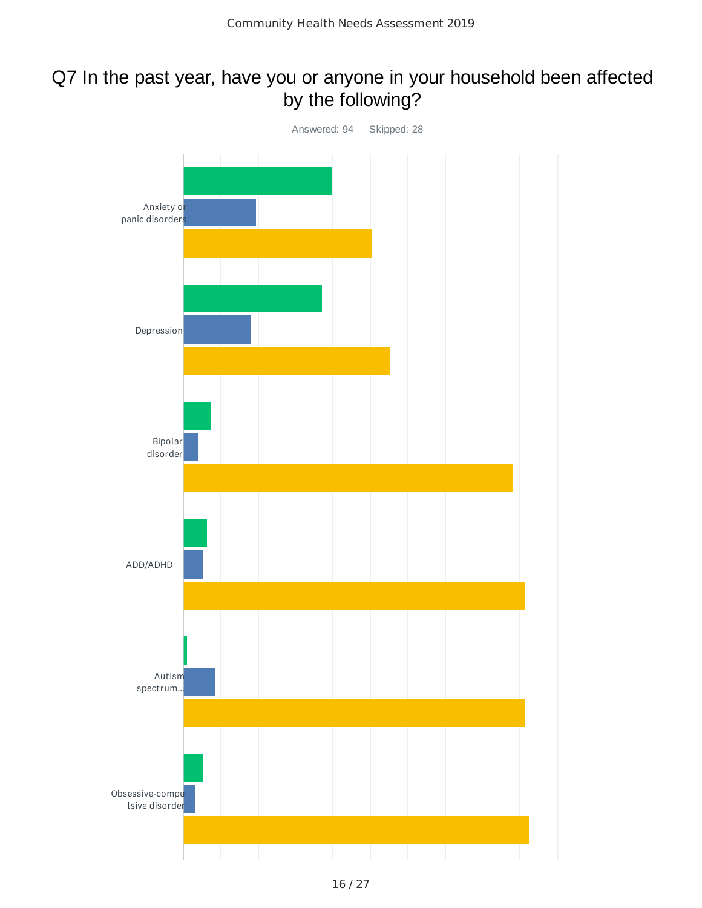### Q7 In the past year, have you or anyone in your household been affected by the following?

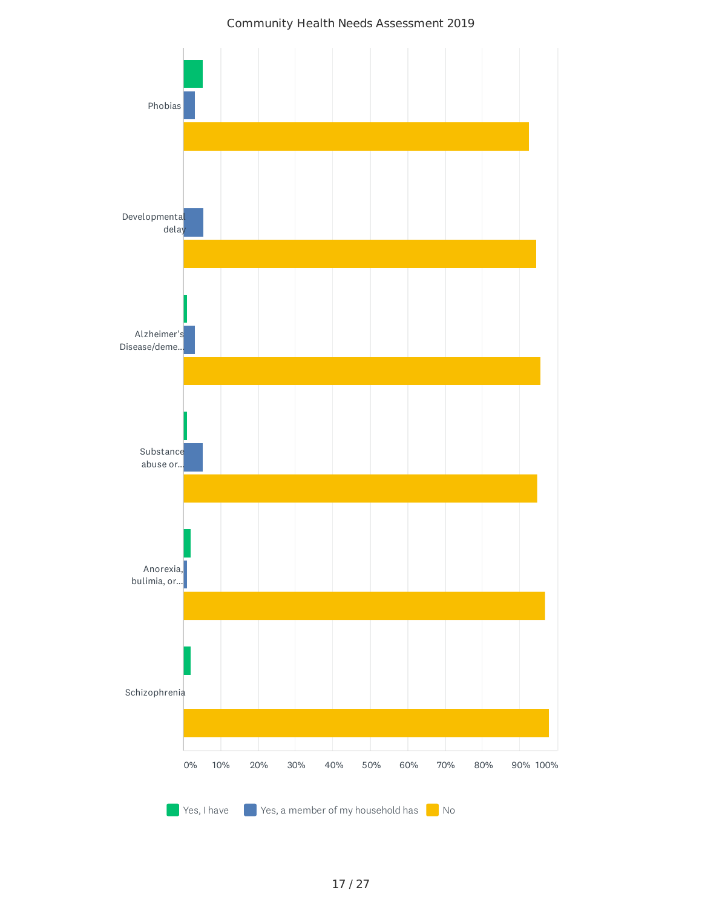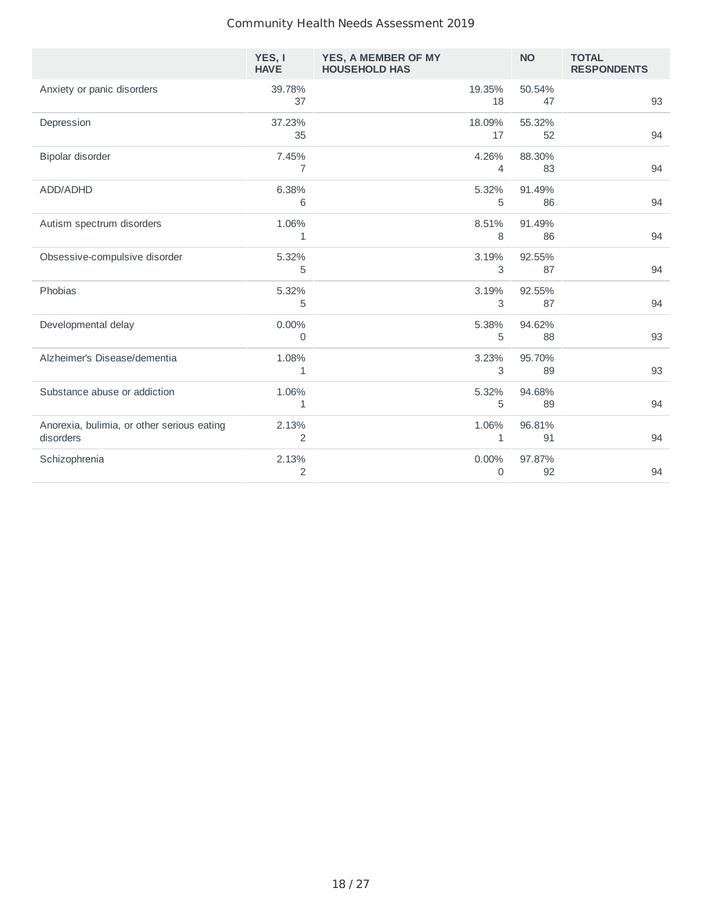|                                                         | YES, I<br><b>HAVE</b>   | YES, A MEMBER OF MY<br><b>HOUSEHOLD HAS</b> | <b>NO</b>    | <b>TOTAL</b><br><b>RESPONDENTS</b> |
|---------------------------------------------------------|-------------------------|---------------------------------------------|--------------|------------------------------------|
| Anxiety or panic disorders                              | 39.78%<br>37            | 19.35%<br>18                                | 50.54%<br>47 | 93                                 |
| Depression                                              | 37.23%<br>35            | 18.09%<br>17                                | 55.32%<br>52 | 94                                 |
| Bipolar disorder                                        | 7.45%<br>7              | 4.26%<br>4                                  | 88.30%<br>83 | 94                                 |
| ADD/ADHD                                                | 6.38%<br>6              | 5.32%<br>5                                  | 91.49%<br>86 | 94                                 |
| Autism spectrum disorders                               | 1.06%<br>$\mathbf{1}$   | 8.51%<br>8                                  | 91.49%<br>86 | 94                                 |
| Obsessive-compulsive disorder                           | 5.32%<br>5              | 3.19%<br>3                                  | 92.55%<br>87 | 94                                 |
| Phobias                                                 | 5.32%<br>5              | 3.19%<br>3                                  | 92.55%<br>87 | 94                                 |
| Developmental delay                                     | 0.00%<br>0              | 5.38%<br>5                                  | 94.62%<br>88 | 93                                 |
| Alzheimer's Disease/dementia                            | 1.08%<br>$\mathbf{1}$   | 3.23%<br>3                                  | 95.70%<br>89 | 93                                 |
| Substance abuse or addiction                            | 1.06%<br>1              | 5.32%<br>5                                  | 94.68%<br>89 | 94                                 |
| Anorexia, bulimia, or other serious eating<br>disorders | 2.13%<br>$\overline{c}$ | 1.06%<br>$\mathbf{1}$                       | 96.81%<br>91 | 94                                 |
| Schizophrenia                                           | 2.13%<br>$\overline{2}$ | 0.00%<br>0                                  | 97.87%<br>92 | 94                                 |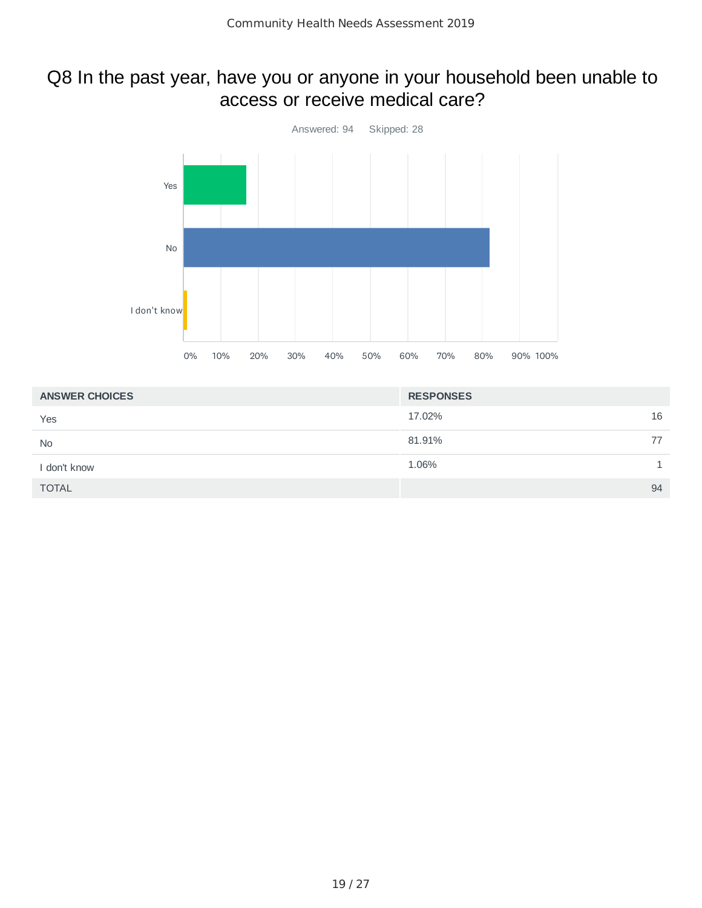### Q8 In the past year, have you or anyone in your household been unable to access or receive medical care?



| <b>ANSWER CHOICES</b> | <b>RESPONSES</b> |
|-----------------------|------------------|
| Yes                   | 16<br>17.02%     |
| <b>No</b>             | 81.91%<br>77     |
| I don't know          | 1.06%            |
| <b>TOTAL</b>          | 94               |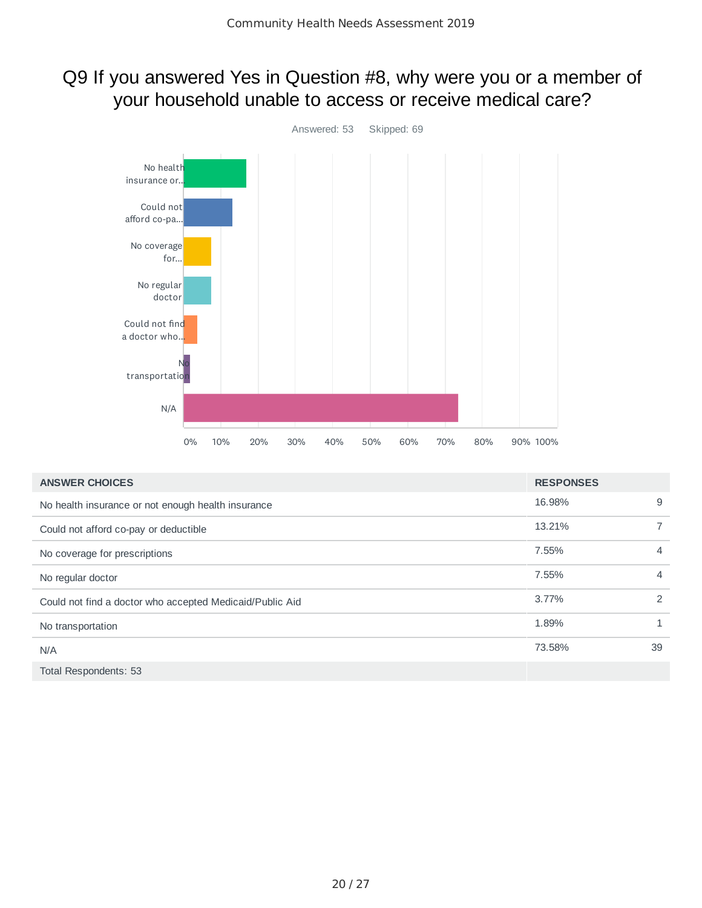## Q9 If you answered Yes in Question #8, why were you or a member of your household unable to access or receive medical care?



| <b>ANSWER CHOICES</b>                                    | <b>RESPONSES</b> |                |
|----------------------------------------------------------|------------------|----------------|
| No health insurance or not enough health insurance       | 16.98%           | 9              |
| Could not afford co-pay or deductible                    | 13.21%           | 7              |
| No coverage for prescriptions                            | 7.55%            | $\overline{4}$ |
| No regular doctor                                        | 7.55%            | $\overline{4}$ |
| Could not find a doctor who accepted Medicaid/Public Aid | 3.77%            | 2              |
| No transportation                                        | 1.89%            | 1              |
| N/A                                                      | 73.58%           | 39             |
| Total Respondents: 53                                    |                  |                |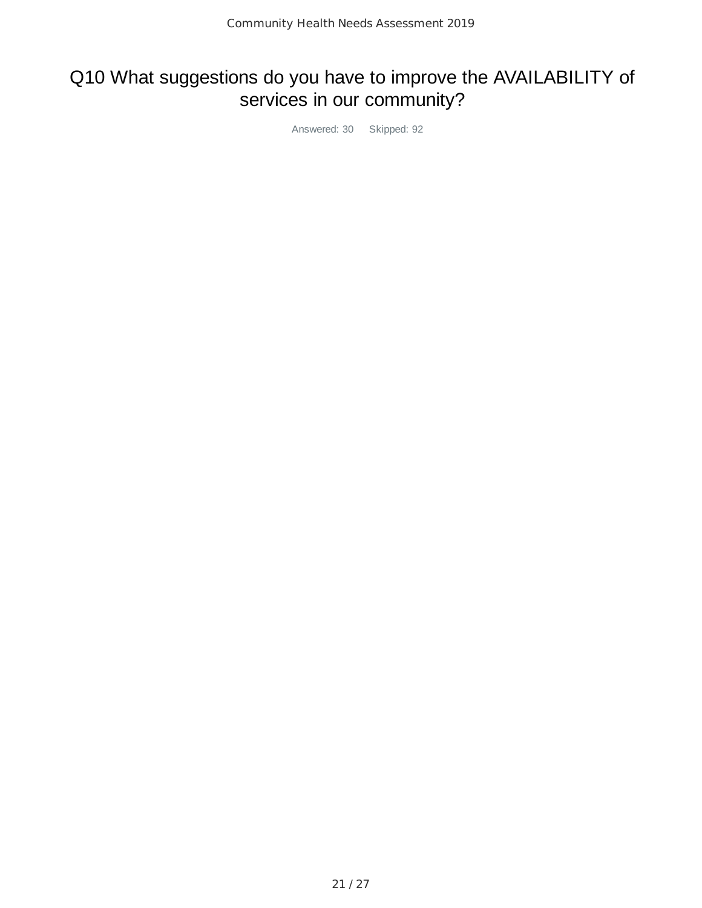# Q10 What suggestions do you have to improve the AVAILABILITY of services in our community?

Answered: 30 Skipped: 92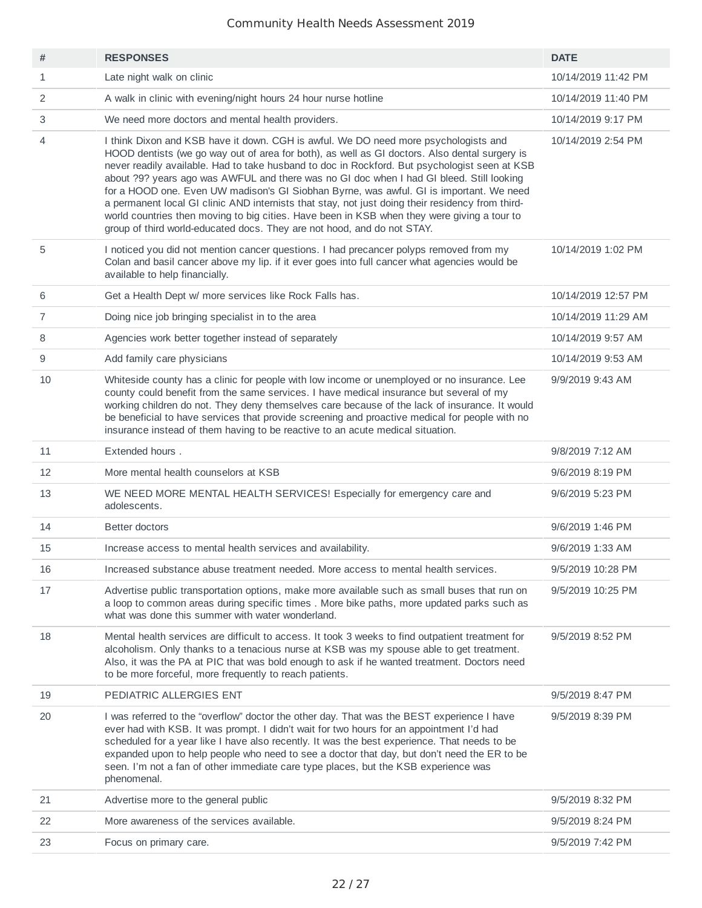| #              | <b>RESPONSES</b>                                                                                                                                                                                                                                                                                                                                                                                                                                                                                                                                                                                                                                                                                                                                           | <b>DATE</b>         |
|----------------|------------------------------------------------------------------------------------------------------------------------------------------------------------------------------------------------------------------------------------------------------------------------------------------------------------------------------------------------------------------------------------------------------------------------------------------------------------------------------------------------------------------------------------------------------------------------------------------------------------------------------------------------------------------------------------------------------------------------------------------------------------|---------------------|
| $\mathbf{1}$   | Late night walk on clinic                                                                                                                                                                                                                                                                                                                                                                                                                                                                                                                                                                                                                                                                                                                                  | 10/14/2019 11:42 PM |
| 2              | A walk in clinic with evening/night hours 24 hour nurse hotline                                                                                                                                                                                                                                                                                                                                                                                                                                                                                                                                                                                                                                                                                            | 10/14/2019 11:40 PM |
| 3              | We need more doctors and mental health providers.                                                                                                                                                                                                                                                                                                                                                                                                                                                                                                                                                                                                                                                                                                          | 10/14/2019 9:17 PM  |
| 4              | I think Dixon and KSB have it down. CGH is awful. We DO need more psychologists and<br>HOOD dentists (we go way out of area for both), as well as GI doctors. Also dental surgery is<br>never readily available. Had to take husband to doc in Rockford. But psychologist seen at KSB<br>about ?9? years ago was AWFUL and there was no GI doc when I had GI bleed. Still looking<br>for a HOOD one. Even UW madison's GI Siobhan Byrne, was awful. GI is important. We need<br>a permanent local GI clinic AND internists that stay, not just doing their residency from third-<br>world countries then moving to big cities. Have been in KSB when they were giving a tour to<br>group of third world-educated docs. They are not hood, and do not STAY. | 10/14/2019 2:54 PM  |
| 5              | I noticed you did not mention cancer questions. I had precancer polyps removed from my<br>Colan and basil cancer above my lip. if it ever goes into full cancer what agencies would be<br>available to help financially.                                                                                                                                                                                                                                                                                                                                                                                                                                                                                                                                   | 10/14/2019 1:02 PM  |
| 6              | Get a Health Dept w/ more services like Rock Falls has.                                                                                                                                                                                                                                                                                                                                                                                                                                                                                                                                                                                                                                                                                                    | 10/14/2019 12:57 PM |
| $\overline{7}$ | Doing nice job bringing specialist in to the area                                                                                                                                                                                                                                                                                                                                                                                                                                                                                                                                                                                                                                                                                                          | 10/14/2019 11:29 AM |
| 8              | Agencies work better together instead of separately                                                                                                                                                                                                                                                                                                                                                                                                                                                                                                                                                                                                                                                                                                        | 10/14/2019 9:57 AM  |
| 9              | Add family care physicians                                                                                                                                                                                                                                                                                                                                                                                                                                                                                                                                                                                                                                                                                                                                 | 10/14/2019 9:53 AM  |
| 10             | Whiteside county has a clinic for people with low income or unemployed or no insurance. Lee<br>county could benefit from the same services. I have medical insurance but several of my<br>working children do not. They deny themselves care because of the lack of insurance. It would<br>be beneficial to have services that provide screening and proactive medical for people with no<br>insurance instead of them having to be reactive to an acute medical situation.                                                                                                                                                                                                                                                                                | 9/9/2019 9:43 AM    |
| 11             | Extended hours.                                                                                                                                                                                                                                                                                                                                                                                                                                                                                                                                                                                                                                                                                                                                            | 9/8/2019 7:12 AM    |
| 12             | More mental health counselors at KSB                                                                                                                                                                                                                                                                                                                                                                                                                                                                                                                                                                                                                                                                                                                       | 9/6/2019 8:19 PM    |
| 13             | WE NEED MORE MENTAL HEALTH SERVICES! Especially for emergency care and<br>adolescents.                                                                                                                                                                                                                                                                                                                                                                                                                                                                                                                                                                                                                                                                     | 9/6/2019 5:23 PM    |
| 14             | Better doctors                                                                                                                                                                                                                                                                                                                                                                                                                                                                                                                                                                                                                                                                                                                                             | 9/6/2019 1:46 PM    |
| 15             | Increase access to mental health services and availability.                                                                                                                                                                                                                                                                                                                                                                                                                                                                                                                                                                                                                                                                                                | 9/6/2019 1:33 AM    |
| 16             | Increased substance abuse treatment needed. More access to mental health services.                                                                                                                                                                                                                                                                                                                                                                                                                                                                                                                                                                                                                                                                         | 9/5/2019 10:28 PM   |
| 17             | Advertise public transportation options, make more available such as small buses that run on<br>a loop to common areas during specific times . More bike paths, more updated parks such as<br>what was done this summer with water wonderland.                                                                                                                                                                                                                                                                                                                                                                                                                                                                                                             | 9/5/2019 10:25 PM   |
| 18             | Mental health services are difficult to access. It took 3 weeks to find outpatient treatment for<br>alcoholism. Only thanks to a tenacious nurse at KSB was my spouse able to get treatment.<br>Also, it was the PA at PIC that was bold enough to ask if he wanted treatment. Doctors need<br>to be more forceful, more frequently to reach patients.                                                                                                                                                                                                                                                                                                                                                                                                     | 9/5/2019 8:52 PM    |
| 19             | PEDIATRIC ALLERGIES ENT                                                                                                                                                                                                                                                                                                                                                                                                                                                                                                                                                                                                                                                                                                                                    | 9/5/2019 8:47 PM    |
| 20             | I was referred to the "overflow" doctor the other day. That was the BEST experience I have<br>ever had with KSB. It was prompt. I didn't wait for two hours for an appointment I'd had<br>scheduled for a year like I have also recently. It was the best experience. That needs to be<br>expanded upon to help people who need to see a doctor that day, but don't need the ER to be<br>seen. I'm not a fan of other immediate care type places, but the KSB experience was<br>phenomenal.                                                                                                                                                                                                                                                                | 9/5/2019 8:39 PM    |
| 21             | Advertise more to the general public                                                                                                                                                                                                                                                                                                                                                                                                                                                                                                                                                                                                                                                                                                                       | 9/5/2019 8:32 PM    |
| 22             | More awareness of the services available.                                                                                                                                                                                                                                                                                                                                                                                                                                                                                                                                                                                                                                                                                                                  | 9/5/2019 8:24 PM    |
| 23             | Focus on primary care.                                                                                                                                                                                                                                                                                                                                                                                                                                                                                                                                                                                                                                                                                                                                     | 9/5/2019 7:42 PM    |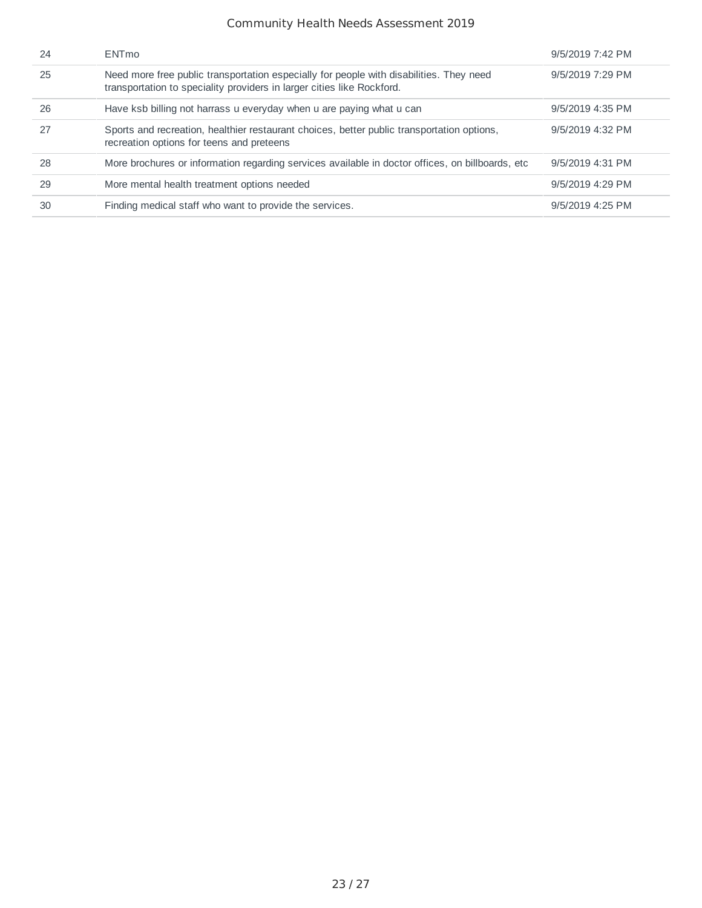| 24 | <b>ENTmo</b>                                                                                                                                                      | 9/5/2019 7:42 PM |
|----|-------------------------------------------------------------------------------------------------------------------------------------------------------------------|------------------|
| 25 | Need more free public transportation especially for people with disabilities. They need<br>transportation to speciality providers in larger cities like Rockford. | 9/5/2019 7:29 PM |
| 26 | Have ksb billing not harrass u everyday when u are paying what u can                                                                                              | 9/5/2019 4:35 PM |
| 27 | Sports and recreation, healthier restaurant choices, better public transportation options,<br>recreation options for teens and preteens                           | 9/5/2019 4:32 PM |
| 28 | More brochures or information regarding services available in doctor offices, on billboards, etc.                                                                 | 9/5/2019 4:31 PM |
| 29 | More mental health treatment options needed                                                                                                                       | 9/5/2019 4:29 PM |
| 30 | Finding medical staff who want to provide the services.                                                                                                           | 9/5/2019 4:25 PM |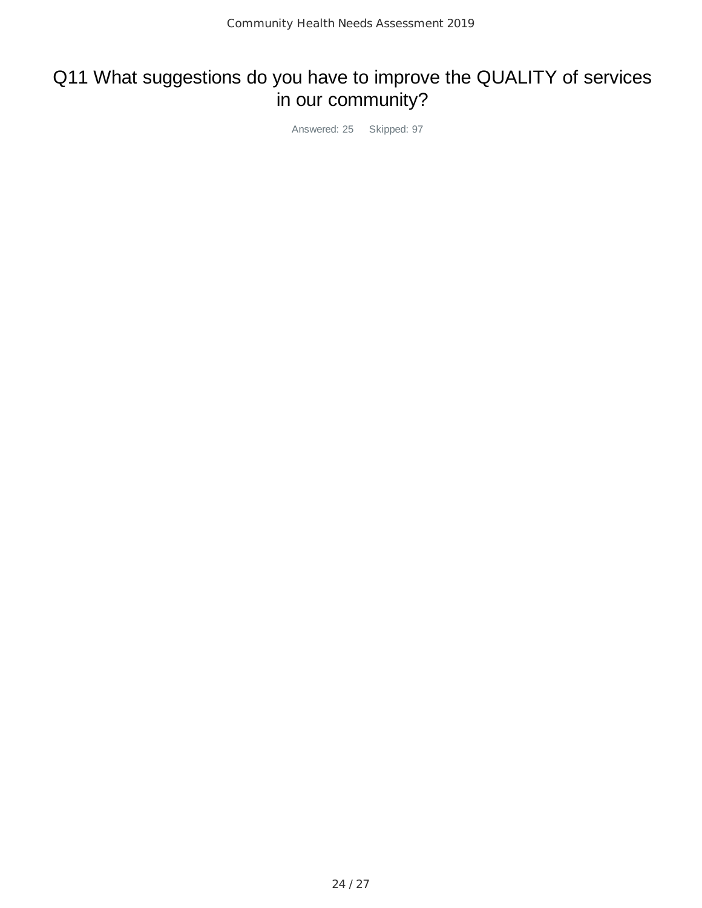# Q11 What suggestions do you have to improve the QUALITY of services in our community?

Answered: 25 Skipped: 97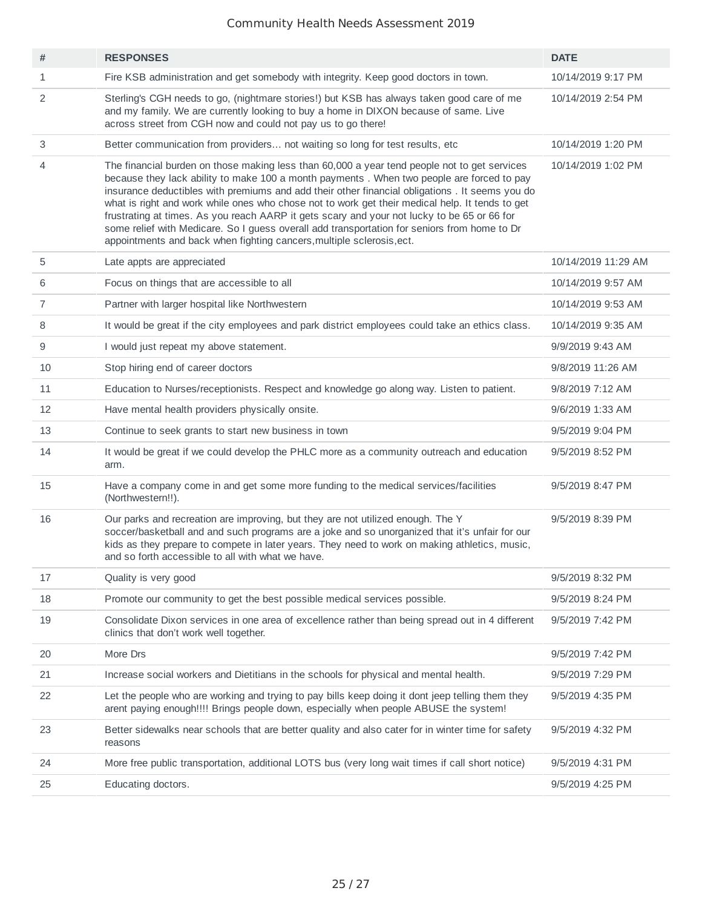| #              | <b>RESPONSES</b>                                                                                                                                                                                                                                                                                                                                                                                                                                                                                                                                                                                                                                                       | <b>DATE</b>         |
|----------------|------------------------------------------------------------------------------------------------------------------------------------------------------------------------------------------------------------------------------------------------------------------------------------------------------------------------------------------------------------------------------------------------------------------------------------------------------------------------------------------------------------------------------------------------------------------------------------------------------------------------------------------------------------------------|---------------------|
| $\mathbf{1}$   | Fire KSB administration and get somebody with integrity. Keep good doctors in town.                                                                                                                                                                                                                                                                                                                                                                                                                                                                                                                                                                                    | 10/14/2019 9:17 PM  |
| 2              | Sterling's CGH needs to go, (nightmare stories!) but KSB has always taken good care of me<br>and my family. We are currently looking to buy a home in DIXON because of same. Live<br>across street from CGH now and could not pay us to go there!                                                                                                                                                                                                                                                                                                                                                                                                                      | 10/14/2019 2:54 PM  |
| 3              | Better communication from providers not waiting so long for test results, etc.                                                                                                                                                                                                                                                                                                                                                                                                                                                                                                                                                                                         | 10/14/2019 1:20 PM  |
| 4              | The financial burden on those making less than 60,000 a year tend people not to get services<br>because they lack ability to make 100 a month payments. When two people are forced to pay<br>insurance deductibles with premiums and add their other financial obligations. It seems you do<br>what is right and work while ones who chose not to work get their medical help. It tends to get<br>frustrating at times. As you reach AARP it gets scary and your not lucky to be 65 or 66 for<br>some relief with Medicare. So I guess overall add transportation for seniors from home to Dr<br>appointments and back when fighting cancers, multiple sclerosis, ect. | 10/14/2019 1:02 PM  |
| 5              | Late appts are appreciated                                                                                                                                                                                                                                                                                                                                                                                                                                                                                                                                                                                                                                             | 10/14/2019 11:29 AM |
| 6              | Focus on things that are accessible to all                                                                                                                                                                                                                                                                                                                                                                                                                                                                                                                                                                                                                             | 10/14/2019 9:57 AM  |
| $\overline{7}$ | Partner with larger hospital like Northwestern                                                                                                                                                                                                                                                                                                                                                                                                                                                                                                                                                                                                                         | 10/14/2019 9:53 AM  |
| 8              | It would be great if the city employees and park district employees could take an ethics class.                                                                                                                                                                                                                                                                                                                                                                                                                                                                                                                                                                        | 10/14/2019 9:35 AM  |
| 9              | I would just repeat my above statement.                                                                                                                                                                                                                                                                                                                                                                                                                                                                                                                                                                                                                                | 9/9/2019 9:43 AM    |
| 10             | Stop hiring end of career doctors                                                                                                                                                                                                                                                                                                                                                                                                                                                                                                                                                                                                                                      | 9/8/2019 11:26 AM   |
| 11             | Education to Nurses/receptionists. Respect and knowledge go along way. Listen to patient.                                                                                                                                                                                                                                                                                                                                                                                                                                                                                                                                                                              | 9/8/2019 7:12 AM    |
| 12             | Have mental health providers physically onsite.                                                                                                                                                                                                                                                                                                                                                                                                                                                                                                                                                                                                                        | 9/6/2019 1:33 AM    |
| 13             | Continue to seek grants to start new business in town                                                                                                                                                                                                                                                                                                                                                                                                                                                                                                                                                                                                                  | 9/5/2019 9:04 PM    |
| 14             | It would be great if we could develop the PHLC more as a community outreach and education<br>arm.                                                                                                                                                                                                                                                                                                                                                                                                                                                                                                                                                                      | 9/5/2019 8:52 PM    |
| 15             | Have a company come in and get some more funding to the medical services/facilities<br>(Northwestern!!).                                                                                                                                                                                                                                                                                                                                                                                                                                                                                                                                                               | 9/5/2019 8:47 PM    |
| 16             | Our parks and recreation are improving, but they are not utilized enough. The Y<br>soccer/basketball and and such programs are a joke and so unorganized that it's unfair for our<br>kids as they prepare to compete in later years. They need to work on making athletics, music,<br>and so forth accessible to all with what we have.                                                                                                                                                                                                                                                                                                                                | 9/5/2019 8:39 PM    |
| 17             | Quality is very good                                                                                                                                                                                                                                                                                                                                                                                                                                                                                                                                                                                                                                                   | 9/5/2019 8:32 PM    |
| 18             | Promote our community to get the best possible medical services possible.                                                                                                                                                                                                                                                                                                                                                                                                                                                                                                                                                                                              | 9/5/2019 8:24 PM    |
| 19             | Consolidate Dixon services in one area of excellence rather than being spread out in 4 different<br>clinics that don't work well together.                                                                                                                                                                                                                                                                                                                                                                                                                                                                                                                             | 9/5/2019 7:42 PM    |
| 20             | More Drs                                                                                                                                                                                                                                                                                                                                                                                                                                                                                                                                                                                                                                                               | 9/5/2019 7:42 PM    |
| 21             | Increase social workers and Dietitians in the schools for physical and mental health.                                                                                                                                                                                                                                                                                                                                                                                                                                                                                                                                                                                  | 9/5/2019 7:29 PM    |
| 22             | Let the people who are working and trying to pay bills keep doing it dont jeep telling them they<br>arent paying enough!!!! Brings people down, especially when people ABUSE the system!                                                                                                                                                                                                                                                                                                                                                                                                                                                                               | 9/5/2019 4:35 PM    |
| 23             | Better sidewalks near schools that are better quality and also cater for in winter time for safety<br>reasons                                                                                                                                                                                                                                                                                                                                                                                                                                                                                                                                                          | 9/5/2019 4:32 PM    |
| 24             | More free public transportation, additional LOTS bus (very long wait times if call short notice)                                                                                                                                                                                                                                                                                                                                                                                                                                                                                                                                                                       | 9/5/2019 4:31 PM    |
| 25             | Educating doctors.                                                                                                                                                                                                                                                                                                                                                                                                                                                                                                                                                                                                                                                     | 9/5/2019 4:25 PM    |